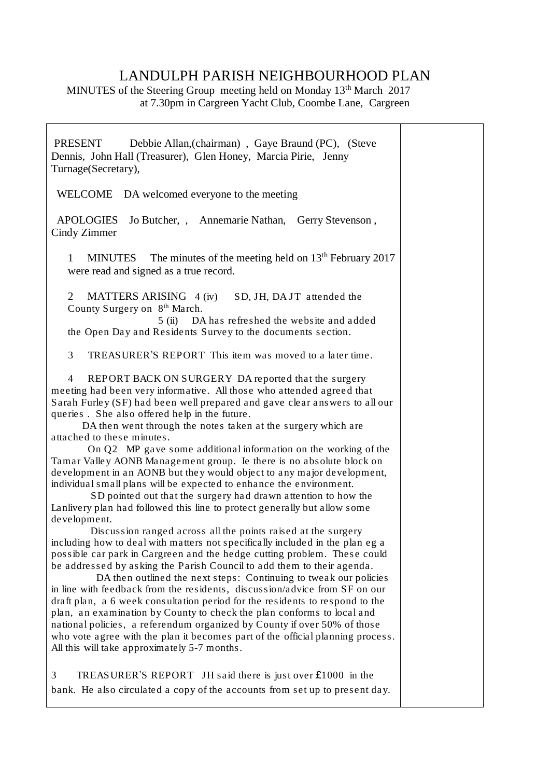## LANDULPH PARISH NEIGHBOURHOOD PLAN

MINUTES of the Steering Group meeting held on Monday 13<sup>th</sup> March 2017 at 7.30pm in Cargreen Yacht Club, Coombe Lane, Cargreen

| <b>PRESENT</b><br>Debbie Allan, (chairman), Gaye Braund (PC), (Steve<br>Dennis, John Hall (Treasurer), Glen Honey, Marcia Pirie, Jenny<br>Turnage(Secretary),                                                                                                                                                                                                                                                                                                                                                                                                                                                                                                                                                                                                                                                                                                                                                                                                                                                                                                                                                                                                                                                                                                                                                                                                                                                                                                                                                                                                                                                                                                 |  |
|---------------------------------------------------------------------------------------------------------------------------------------------------------------------------------------------------------------------------------------------------------------------------------------------------------------------------------------------------------------------------------------------------------------------------------------------------------------------------------------------------------------------------------------------------------------------------------------------------------------------------------------------------------------------------------------------------------------------------------------------------------------------------------------------------------------------------------------------------------------------------------------------------------------------------------------------------------------------------------------------------------------------------------------------------------------------------------------------------------------------------------------------------------------------------------------------------------------------------------------------------------------------------------------------------------------------------------------------------------------------------------------------------------------------------------------------------------------------------------------------------------------------------------------------------------------------------------------------------------------------------------------------------------------|--|
| WELCOME DA welcomed everyone to the meeting                                                                                                                                                                                                                                                                                                                                                                                                                                                                                                                                                                                                                                                                                                                                                                                                                                                                                                                                                                                                                                                                                                                                                                                                                                                                                                                                                                                                                                                                                                                                                                                                                   |  |
| <b>APOLOGIES</b><br>Jo Butcher, , Annemarie Nathan, Gerry Stevenson,<br>Cindy Zimmer                                                                                                                                                                                                                                                                                                                                                                                                                                                                                                                                                                                                                                                                                                                                                                                                                                                                                                                                                                                                                                                                                                                                                                                                                                                                                                                                                                                                                                                                                                                                                                          |  |
| The minutes of the meeting held on $13th$ February 2017<br><b>MINUTES</b><br>$\mathbf{1}$<br>were read and signed as a true record.                                                                                                                                                                                                                                                                                                                                                                                                                                                                                                                                                                                                                                                                                                                                                                                                                                                                                                                                                                                                                                                                                                                                                                                                                                                                                                                                                                                                                                                                                                                           |  |
| $\overline{2}$<br>MATTERS ARISING 4 (iv)<br>SD, JH, DAJT attended the<br>County Surgery on 8th March.                                                                                                                                                                                                                                                                                                                                                                                                                                                                                                                                                                                                                                                                                                                                                                                                                                                                                                                                                                                                                                                                                                                                                                                                                                                                                                                                                                                                                                                                                                                                                         |  |
| DA has refreshed the website and added<br>5(ii)<br>the Open Day and Residents Survey to the documents section.                                                                                                                                                                                                                                                                                                                                                                                                                                                                                                                                                                                                                                                                                                                                                                                                                                                                                                                                                                                                                                                                                                                                                                                                                                                                                                                                                                                                                                                                                                                                                |  |
| 3<br>TREASURER'S REPORT This item was moved to a later time.                                                                                                                                                                                                                                                                                                                                                                                                                                                                                                                                                                                                                                                                                                                                                                                                                                                                                                                                                                                                                                                                                                                                                                                                                                                                                                                                                                                                                                                                                                                                                                                                  |  |
| REPORT BACK ON SURGERY DA reported that the surgery<br>4<br>meeting had been very informative. All those who attended agreed that<br>Sarah Furley (SF) had been well prepared and gave clear answers to all our<br>queries. She also offered help in the future.<br>DA then went through the notes taken at the surgery which are<br>attached to these minutes.<br>On Q2 MP gave some additional information on the working of the<br>Tamar Valley AONB Management group. Ie there is no absolute block on<br>development in an AONB but they would object to any major development,<br>individual small plans will be expected to enhance the environment.<br>SD pointed out that the surgery had drawn attention to how the<br>Lanlivery plan had followed this line to protect generally but allow some<br>development.<br>Discussion ranged across all the points raised at the surgery<br>including how to deal with matters not specifically included in the plan eg a<br>possible car park in Cargreen and the hedge cutting problem. These could<br>be addressed by asking the Parish Council to add them to their agenda.<br>DA then outlined the next steps: Continuing to tweak our policies<br>in line with feedback from the residents, discussion/advice from SF on our<br>draft plan, a 6 week consultation period for the residents to respond to the<br>plan, an examination by County to check the plan conforms to local and<br>national policies, a referendum organized by County if over 50% of those<br>who vote agree with the plan it becomes part of the official planning process.<br>All this will take approximately 5-7 months. |  |
| 3<br>TREASURER'S REPORT JH said there is just over £1000 in the<br>bank. He also circulated a copy of the accounts from set up to present day.                                                                                                                                                                                                                                                                                                                                                                                                                                                                                                                                                                                                                                                                                                                                                                                                                                                                                                                                                                                                                                                                                                                                                                                                                                                                                                                                                                                                                                                                                                                |  |